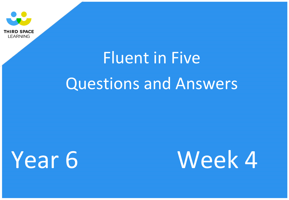

# Fluent in Five Questions and Answers

Year 6 Week 4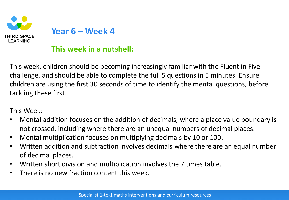

#### **This week in a nutshell:**

This week, children should be becoming increasingly familiar with the Fluent in Five challenge, and should be able to complete the full 5 questions in 5 minutes. Ensure children are using the first 30 seconds of time to identify the mental questions, before tackling these first.

This Week:

- Mental addition focuses on the addition of decimals, where a place value boundary is not crossed, including where there are an unequal numbers of decimal places.
- Mental multiplication focuses on multiplying decimals by 10 or 100.
- Written addition and subtraction involves decimals where there are an equal number of decimal places.
- Written short division and multiplication involves the 7 times table.
- There is no new fraction content this week.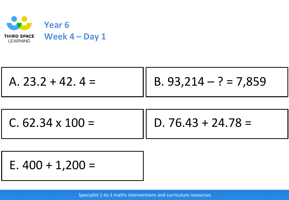

| A. $23.2 + 42.4 =$ | $\ $ B. 93,214 – ? = 7,859 |
|--------------------|----------------------------|
|                    |                            |

 $C. 62.34 \times 100 =$ 

D.  $76.43 + 24.78 =$ 

E.  $400 + 1,200 =$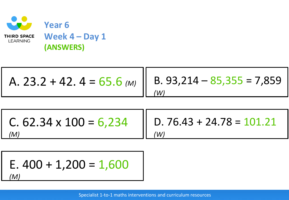

A. 23.2 + 42. 4 = 65.6 
$$
\text{(M)}
$$
  
(B. 93,214 - 85,355 = 7,859  
(W)

*(W)*

C.  $62.34 \times 100 = 6,234$ *(M)*

D. 76.43 + 24.78 =  $101.21$ 

E. 
$$
400 + 1,200 = 1,600
$$
  
(M)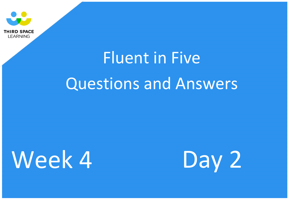

# Fluent in Five Questions and Answers

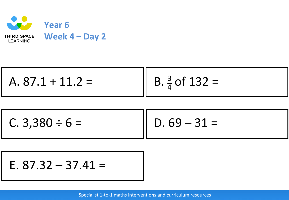

A. 87.1 + 11.2 = 
$$
\begin{bmatrix} B. \frac{3}{4} \text{ of } 132 = \end{bmatrix}
$$

 $D. 69 - 31 =$  $C. 3,380 \div 6 =$ 

E. 
$$
87.32 - 37.41 =
$$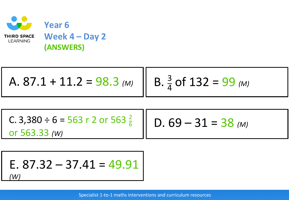

A. 87.1 + 11.2 = 98.3 (M)   
B. 
$$
\frac{3}{4}
$$
 of 132 = 99 (M)

D.  $69 - 31 = 38$  (M) C. 3,380  $\div$  6 = 563 r 2 or 563  $\frac{2}{6}$ or 563.33 *(W)*

E. 87.32 – 37.41 = 
$$
49.91
$$
  
(W)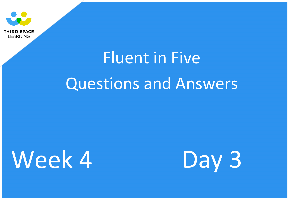

# Fluent in Five Questions and Answers

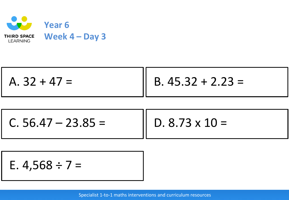

| $A. 32 + 47 =$ | B. $45.32 + 2.23 =$ |
|----------------|---------------------|
|                |                     |

 $C. 56.47 - 23.85 =$ 

D.  $8.73 \times 10 =$ 

E. 
$$
4,568 \div 7 =
$$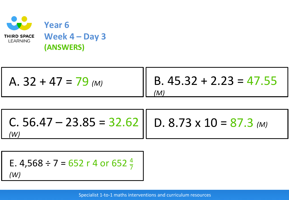

A. 32 + 47 = 79 *(M)* B. 45.32 + 2.23 = 47.55 *(M)*

D. 8.73 x 10 = 87.3 *(M)* C. 56.47 – 23.85 = 32.62 *(W)*

E. 4,568 ÷ 7 = 652 r 4 or 652 
$$
\frac{4}{7}
$$
  
(W)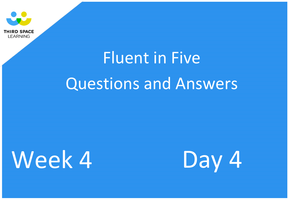

# Fluent in Five Questions and Answers

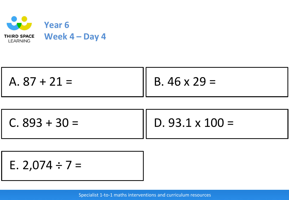

| $A.87 + 21 =$ | $B.46 \times 29 =$ |
|---------------|--------------------|
|---------------|--------------------|

D.  $93.1 \times 100 =$  $C. 893 + 30 =$ 

E. 2,074 ÷ 7 =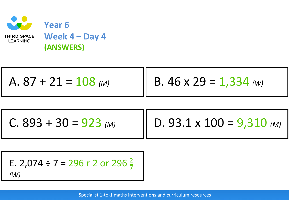

$$
A. 87 + 21 = 108 \text{ (M)}
$$
 B. 46 x 29 = 1,334 (W)

C.  $893 + 30 = 923$  (M)

D. 93.1 x 100 = 9,310 *(M)*

E. 2,074 ÷ 7 = 296 r 2 or 296 
$$
\frac{2}{7}
$$

*(W)*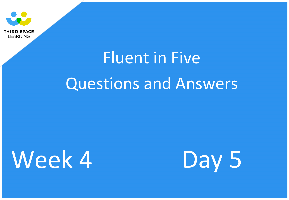

# Fluent in Five Questions and Answers

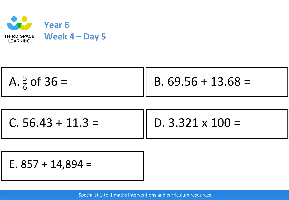

 $C. 56.43 + 11.3 =$ 

D.  $3.321 \times 100 =$ 

E.  $857 + 14,894 =$